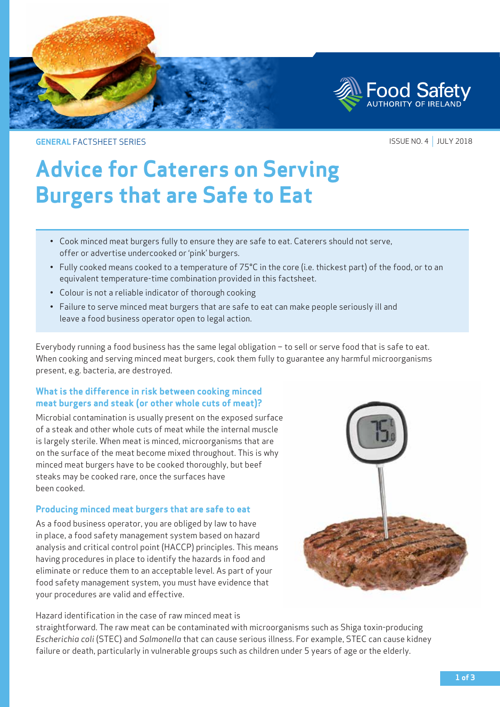

**GENERAL** FACTSHEET SERIES

ISSUE NO. 4 | JULY 2018

# **Advice for Caterers on Serving Burgers that are Safe to Eat**

- • Cook minced meat burgers fully to ensure they are safe to eat. Caterers should not serve, offer or advertise undercooked or 'pink' burgers.
- Fully cooked means cooked to a temperature of 75°C in the core (i.e. thickest part) of the food, or to an equivalent temperature-time combination provided in this factsheet.
- Colour is not a reliable indicator of thorough cooking
- Failure to serve minced meat burgers that are safe to eat can make people seriously ill and leave a food business operator open to legal action.

Everybody running a food business has the same legal obligation – to sell or serve food that is safe to eat. When cooking and serving minced meat burgers, cook them fully to guarantee any harmful microorganisms present, e.g. bacteria, are destroyed.

## **What is the difference in risk between cooking minced meat burgers and steak (or other whole cuts of meat)?**

Microbial contamination is usually present on the exposed surface of a steak and other whole cuts of meat while the internal muscle is largely sterile. When meat is minced, microorganisms that are on the surface of the meat become mixed throughout. This is why minced meat burgers have to be cooked thoroughly, but beef steaks may be cooked rare, once the surfaces have been cooked.

## **Producing minced meat burgers that are safe to eat**

As a food business operator, you are obliged by law to have in place, a food safety management system based on hazard analysis and critical control point (HACCP) principles. This means having procedures in place to identify the hazards in food and eliminate or reduce them to an acceptable level. As part of your food safety management system, you must have evidence that your procedures are valid and effective.



Hazard identification in the case of raw minced meat is

straightforward. The raw meat can be contaminated with microorganisms such as Shiga toxin-producing *Escherichia coli* (STEC) and *Salmonella* that can cause serious illness. For example, STEC can cause kidney failure or death, particularly in vulnerable groups such as children under 5 years of age or the elderly.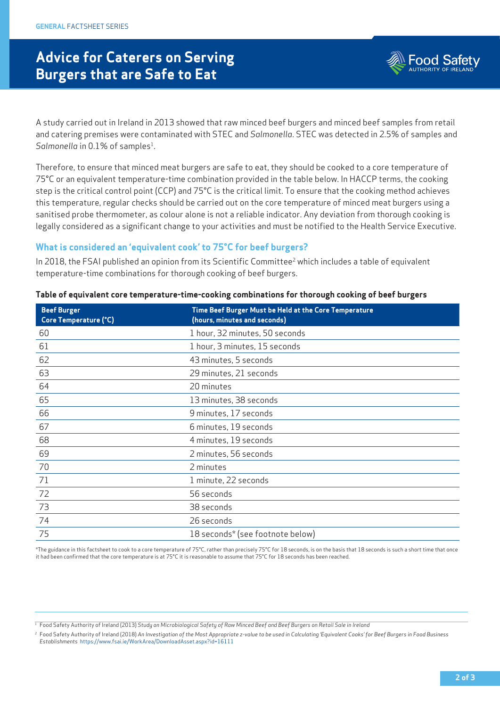# **Advice for Caterers on Serving Burgers that are Safe to Eat**



A study carried out in Ireland in 2013 showed that raw minced beef burgers and minced beef samples from retail and catering premises were contaminated with STEC and *Salmonella*. STEC was detected in 2.5% of samples and Salmonella in 0.1% of samples<sup>1</sup>.

Therefore, to ensure that minced meat burgers are safe to eat, they should be cooked to a core temperature of 75°C or an equivalent temperature-time combination provided in the table below. In HACCP terms, the cooking step is the critical control point (CCP) and 75°C is the critical limit. To ensure that the cooking method achieves this temperature, regular checks should be carried out on the core temperature of minced meat burgers using a sanitised probe thermometer, as colour alone is not a reliable indicator. Any deviation from thorough cooking is legally considered as a significant change to your activities and must be notified to the Health Service Executive.

#### **What is considered an 'equivalent cook' to 75°C for beef burgers?**

In 2018, the FSAI published an opinion from its Scientific Committee<sup>2</sup> which includes a table of equivalent temperature-time combinations for thorough cooking of beef burgers.

| <b>Beef Burger</b><br>Core Temperature (°C) | Time Beef Burger Must be Held at the Core Temperature<br>(hours, minutes and seconds) |
|---------------------------------------------|---------------------------------------------------------------------------------------|
| 60                                          | 1 hour, 32 minutes, 50 seconds                                                        |
| 61                                          | 1 hour, 3 minutes, 15 seconds                                                         |
| 62                                          | 43 minutes, 5 seconds                                                                 |
| 63                                          | 29 minutes, 21 seconds                                                                |
| 64                                          | 20 minutes                                                                            |
| 65                                          | 13 minutes, 38 seconds                                                                |
| 66                                          | 9 minutes, 17 seconds                                                                 |
| 67                                          | 6 minutes, 19 seconds                                                                 |
| 68                                          | 4 minutes, 19 seconds                                                                 |
| 69                                          | 2 minutes, 56 seconds                                                                 |
| 70                                          | 2 minutes                                                                             |
| 71                                          | 1 minute, 22 seconds                                                                  |
| 72                                          | 56 seconds                                                                            |
| 73                                          | 38 seconds                                                                            |
| 74                                          | 26 seconds                                                                            |
| 75                                          | 18 seconds* (see footnote below)                                                      |

#### **Table of equivalent core temperature-time-cooking combinations for thorough cooking of beef burgers**

\*The guidance in this factsheet to cook to a core temperature of 75°C, rather than precisely 75°C for 18 seconds, is on the basis that 18 seconds is such a short time that once it had been confirmed that the core temperature is at 75°C it is reasonable to assume that 75°C for 18 seconds has been reached.

<sup>1</sup> Food Safety Authority of Ireland (2013) *Study on Microbiological Safety of Raw Minced Beef and Beef Burgers on Retail Sale in Ireland*

<sup>2</sup> Food Safety Authority of Ireland (2018) An Investigation of the Most Appropriate z-value to be used in Calculating 'Equivalent Cooks' for Beef Burgers in Food Business *Establishments* https://www.fsai.ie/WorkArea/DownloadAsset.aspx?id=16111